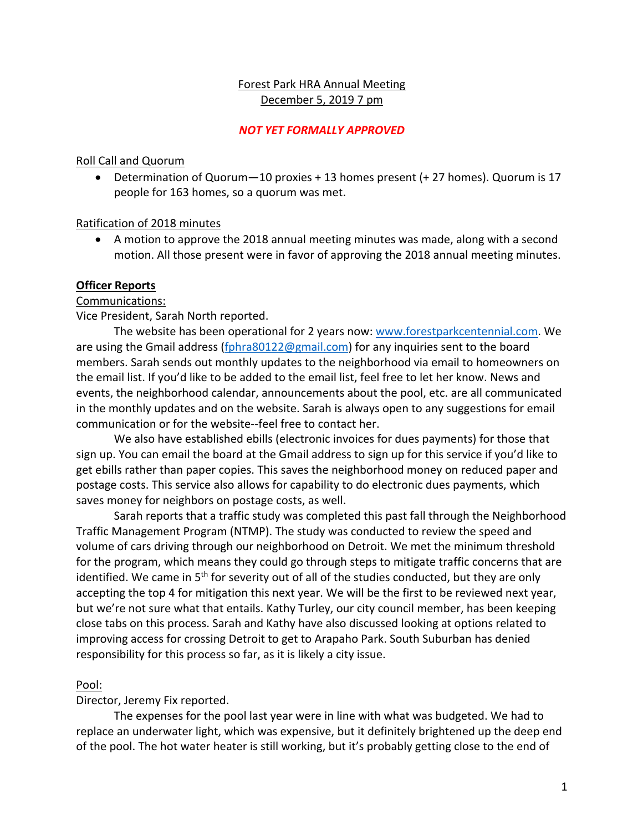# Forest Park HRA Annual Meeting December 5, 2019 7 pm

## *NOT YET FORMALLY APPROVED*

## Roll Call and Quorum

• Determination of Quorum—10 proxies + 13 homes present (+ 27 homes). Quorum is 17 people for 163 homes, so a quorum was met.

## Ratification of 2018 minutes

• A motion to approve the 2018 annual meeting minutes was made, along with a second motion. All those present were in favor of approving the 2018 annual meeting minutes.

# **Officer Reports**

# Communications:

Vice President, Sarah North reported.

The website has been operational for 2 years now: www.forestparkcentennial.com. We are using the Gmail address (fphra80122@gmail.com) for any inquiries sent to the board members. Sarah sends out monthly updates to the neighborhood via email to homeowners on the email list. If you'd like to be added to the email list, feel free to let her know. News and events, the neighborhood calendar, announcements about the pool, etc. are all communicated in the monthly updates and on the website. Sarah is always open to any suggestions for email communication or for the website--feel free to contact her.

We also have established ebills (electronic invoices for dues payments) for those that sign up. You can email the board at the Gmail address to sign up for this service if you'd like to get ebills rather than paper copies. This saves the neighborhood money on reduced paper and postage costs. This service also allows for capability to do electronic dues payments, which saves money for neighbors on postage costs, as well.

Sarah reports that a traffic study was completed this past fall through the Neighborhood Traffic Management Program (NTMP). The study was conducted to review the speed and volume of cars driving through our neighborhood on Detroit. We met the minimum threshold for the program, which means they could go through steps to mitigate traffic concerns that are identified. We came in 5<sup>th</sup> for severity out of all of the studies conducted, but they are only accepting the top 4 for mitigation this next year. We will be the first to be reviewed next year, but we're not sure what that entails. Kathy Turley, our city council member, has been keeping close tabs on this process. Sarah and Kathy have also discussed looking at options related to improving access for crossing Detroit to get to Arapaho Park. South Suburban has denied responsibility for this process so far, as it is likely a city issue.

# Pool:

Director, Jeremy Fix reported.

The expenses for the pool last year were in line with what was budgeted. We had to replace an underwater light, which was expensive, but it definitely brightened up the deep end of the pool. The hot water heater is still working, but it's probably getting close to the end of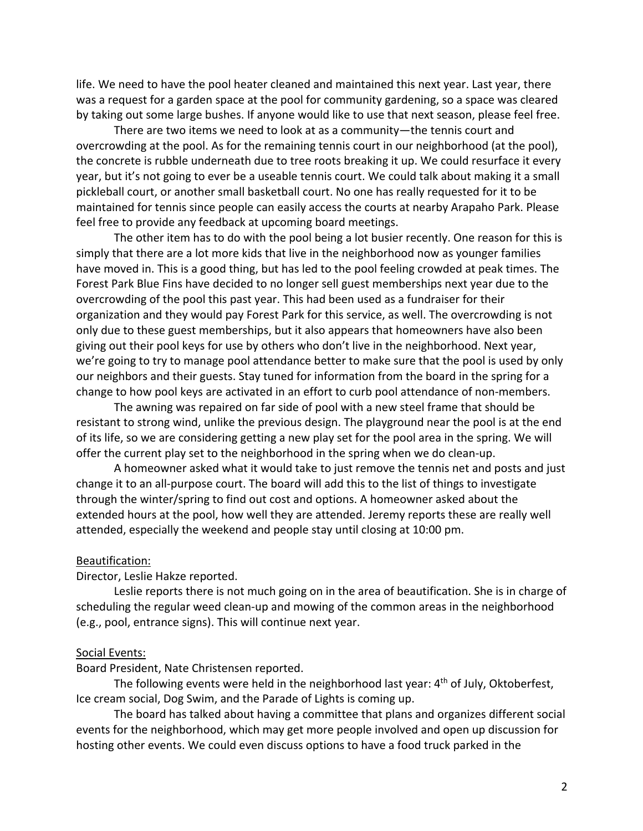life. We need to have the pool heater cleaned and maintained this next year. Last year, there was a request for a garden space at the pool for community gardening, so a space was cleared by taking out some large bushes. If anyone would like to use that next season, please feel free.

There are two items we need to look at as a community—the tennis court and overcrowding at the pool. As for the remaining tennis court in our neighborhood (at the pool), the concrete is rubble underneath due to tree roots breaking it up. We could resurface it every year, but it's not going to ever be a useable tennis court. We could talk about making it a small pickleball court, or another small basketball court. No one has really requested for it to be maintained for tennis since people can easily access the courts at nearby Arapaho Park. Please feel free to provide any feedback at upcoming board meetings.

The other item has to do with the pool being a lot busier recently. One reason for this is simply that there are a lot more kids that live in the neighborhood now as younger families have moved in. This is a good thing, but has led to the pool feeling crowded at peak times. The Forest Park Blue Fins have decided to no longer sell guest memberships next year due to the overcrowding of the pool this past year. This had been used as a fundraiser for their organization and they would pay Forest Park for this service, as well. The overcrowding is not only due to these guest memberships, but it also appears that homeowners have also been giving out their pool keys for use by others who don't live in the neighborhood. Next year, we're going to try to manage pool attendance better to make sure that the pool is used by only our neighbors and their guests. Stay tuned for information from the board in the spring for a change to how pool keys are activated in an effort to curb pool attendance of non-members.

The awning was repaired on far side of pool with a new steel frame that should be resistant to strong wind, unlike the previous design. The playground near the pool is at the end of its life, so we are considering getting a new play set for the pool area in the spring. We will offer the current play set to the neighborhood in the spring when we do clean-up.

A homeowner asked what it would take to just remove the tennis net and posts and just change it to an all-purpose court. The board will add this to the list of things to investigate through the winter/spring to find out cost and options. A homeowner asked about the extended hours at the pool, how well they are attended. Jeremy reports these are really well attended, especially the weekend and people stay until closing at 10:00 pm.

### Beautification:

Director, Leslie Hakze reported.

Leslie reports there is not much going on in the area of beautification. She is in charge of scheduling the regular weed clean-up and mowing of the common areas in the neighborhood (e.g., pool, entrance signs). This will continue next year.

#### Social Events:

Board President, Nate Christensen reported.

The following events were held in the neighborhood last year: 4<sup>th</sup> of July, Oktoberfest, Ice cream social, Dog Swim, and the Parade of Lights is coming up.

The board has talked about having a committee that plans and organizes different social events for the neighborhood, which may get more people involved and open up discussion for hosting other events. We could even discuss options to have a food truck parked in the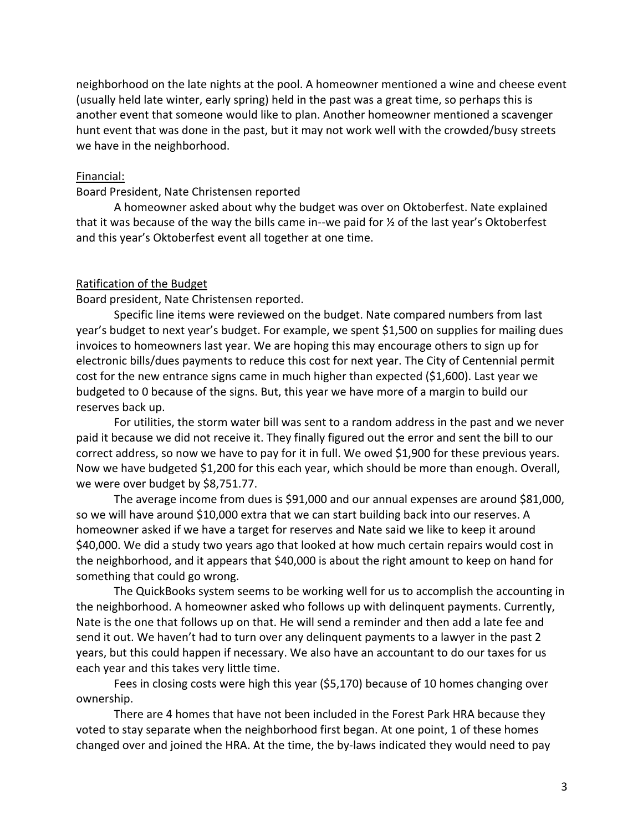neighborhood on the late nights at the pool. A homeowner mentioned a wine and cheese event (usually held late winter, early spring) held in the past was a great time, so perhaps this is another event that someone would like to plan. Another homeowner mentioned a scavenger hunt event that was done in the past, but it may not work well with the crowded/busy streets we have in the neighborhood.

## Financial:

### Board President, Nate Christensen reported

A homeowner asked about why the budget was over on Oktoberfest. Nate explained that it was because of the way the bills came in--we paid for ½ of the last year's Oktoberfest and this year's Oktoberfest event all together at one time.

### Ratification of the Budget

Board president, Nate Christensen reported.

Specific line items were reviewed on the budget. Nate compared numbers from last year's budget to next year's budget. For example, we spent \$1,500 on supplies for mailing dues invoices to homeowners last year. We are hoping this may encourage others to sign up for electronic bills/dues payments to reduce this cost for next year. The City of Centennial permit cost for the new entrance signs came in much higher than expected (\$1,600). Last year we budgeted to 0 because of the signs. But, this year we have more of a margin to build our reserves back up.

For utilities, the storm water bill was sent to a random address in the past and we never paid it because we did not receive it. They finally figured out the error and sent the bill to our correct address, so now we have to pay for it in full. We owed \$1,900 for these previous years. Now we have budgeted \$1,200 for this each year, which should be more than enough. Overall, we were over budget by \$8,751.77.

The average income from dues is \$91,000 and our annual expenses are around \$81,000, so we will have around \$10,000 extra that we can start building back into our reserves. A homeowner asked if we have a target for reserves and Nate said we like to keep it around \$40,000. We did a study two years ago that looked at how much certain repairs would cost in the neighborhood, and it appears that \$40,000 is about the right amount to keep on hand for something that could go wrong.

The QuickBooks system seems to be working well for us to accomplish the accounting in the neighborhood. A homeowner asked who follows up with delinquent payments. Currently, Nate is the one that follows up on that. He will send a reminder and then add a late fee and send it out. We haven't had to turn over any delinquent payments to a lawyer in the past 2 years, but this could happen if necessary. We also have an accountant to do our taxes for us each year and this takes very little time.

Fees in closing costs were high this year (\$5,170) because of 10 homes changing over ownership.

There are 4 homes that have not been included in the Forest Park HRA because they voted to stay separate when the neighborhood first began. At one point, 1 of these homes changed over and joined the HRA. At the time, the by-laws indicated they would need to pay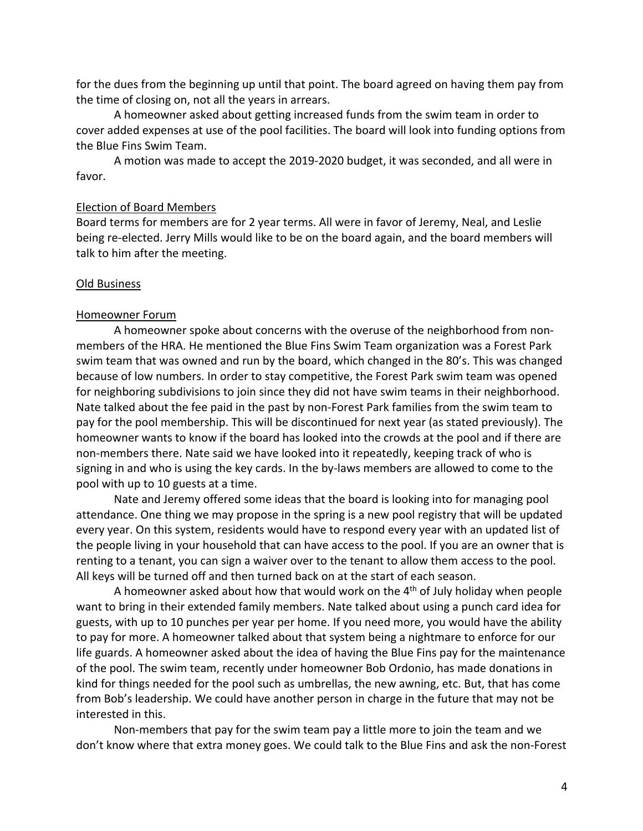for the dues from the beginning up until that point. The board agreed on having them pay from the time of closing on, not all the years in arrears.

A homeowner asked about getting increased funds from the swim team in order to cover added expenses at use of the pool facilities. The board will look into funding options from the Blue Fins Swim Team.

A motion was made to accept the 2019-2020 budget, it was seconded, and all were in favor.

### Election of Board Members

Board terms for members are for 2 year terms. All were in favor of Jeremy, Neal, and Leslie being re-elected. Jerry Mills would like to be on the board again, and the board members will talk to him after the meeting.

#### Old Business

#### Homeowner Forum

A homeowner spoke about concerns with the overuse of the neighborhood from nonmembers of the HRA. He mentioned the Blue Fins Swim Team organization was a Forest Park swim team that was owned and run by the board, which changed in the 80's. This was changed because of low numbers. In order to stay competitive, the Forest Park swim team was opened for neighboring subdivisions to join since they did not have swim teams in their neighborhood. Nate talked about the fee paid in the past by non-Forest Park families from the swim team to pay for the pool membership. This will be discontinued for next year (as stated previously). The homeowner wants to know if the board has looked into the crowds at the pool and if there are non-members there. Nate said we have looked into it repeatedly, keeping track of who is signing in and who is using the key cards. In the by-laws members are allowed to come to the pool with up to 10 guests at a time.

Nate and Jeremy offered some ideas that the board is looking into for managing pool attendance. One thing we may propose in the spring is a new pool registry that will be updated every year. On this system, residents would have to respond every year with an updated list of the people living in your household that can have access to the pool. If you are an owner that is renting to a tenant, you can sign a waiver over to the tenant to allow them access to the pool. All keys will be turned off and then turned back on at the start of each season.

A homeowner asked about how that would work on the  $4<sup>th</sup>$  of July holiday when people want to bring in their extended family members. Nate talked about using a punch card idea for guests, with up to 10 punches per year per home. If you need more, you would have the ability to pay for more. A homeowner talked about that system being a nightmare to enforce for our life guards. A homeowner asked about the idea of having the Blue Fins pay for the maintenance of the pool. The swim team, recently under homeowner Bob Ordonio, has made donations in kind for things needed for the pool such as umbrellas, the new awning, etc. But, that has come from Bob's leadership. We could have another person in charge in the future that may not be interested in this.

Non-members that pay for the swim team pay a little more to join the team and we don't know where that extra money goes. We could talk to the Blue Fins and ask the non-Forest